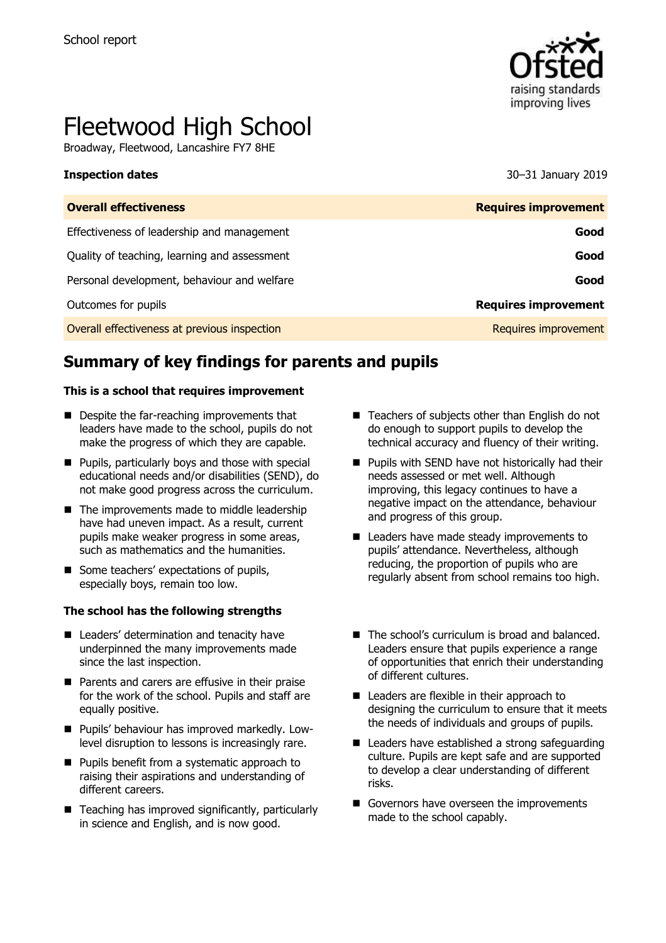

# Fleetwood High School

Broadway, Fleetwood, Lancashire FY7 8HE

**Inspection dates** 30–31 January 2019

| <b>Requires improvement</b> |
|-----------------------------|
| Good                        |
| Good                        |
| Good                        |
| <b>Requires improvement</b> |
| Requires improvement        |
|                             |

# **Summary of key findings for parents and pupils**

#### **This is a school that requires improvement**

- Despite the far-reaching improvements that leaders have made to the school, pupils do not make the progress of which they are capable.
- **Pupils, particularly boys and those with special** educational needs and/or disabilities (SEND), do not make good progress across the curriculum.
- The improvements made to middle leadership have had uneven impact. As a result, current pupils make weaker progress in some areas, such as mathematics and the humanities.
- Some teachers' expectations of pupils, especially boys, remain too low.

#### **The school has the following strengths**

- Leaders' determination and tenacity have underpinned the many improvements made since the last inspection.
- **Parents and carers are effusive in their praise** for the work of the school. Pupils and staff are equally positive.
- **Pupils' behaviour has improved markedly. Low**level disruption to lessons is increasingly rare.
- **Pupils benefit from a systematic approach to** raising their aspirations and understanding of different careers.
- $\blacksquare$  Teaching has improved significantly, particularly in science and English, and is now good.
- Teachers of subjects other than English do not do enough to support pupils to develop the technical accuracy and fluency of their writing.
- **Pupils with SEND have not historically had their** needs assessed or met well. Although improving, this legacy continues to have a negative impact on the attendance, behaviour and progress of this group.
- Leaders have made steady improvements to pupils' attendance. Nevertheless, although reducing, the proportion of pupils who are regularly absent from school remains too high.
- The school's curriculum is broad and balanced. Leaders ensure that pupils experience a range of opportunities that enrich their understanding of different cultures.
- Leaders are flexible in their approach to designing the curriculum to ensure that it meets the needs of individuals and groups of pupils.
- Leaders have established a strong safeguarding culture. Pupils are kept safe and are supported to develop a clear understanding of different risks.
- Governors have overseen the improvements made to the school capably.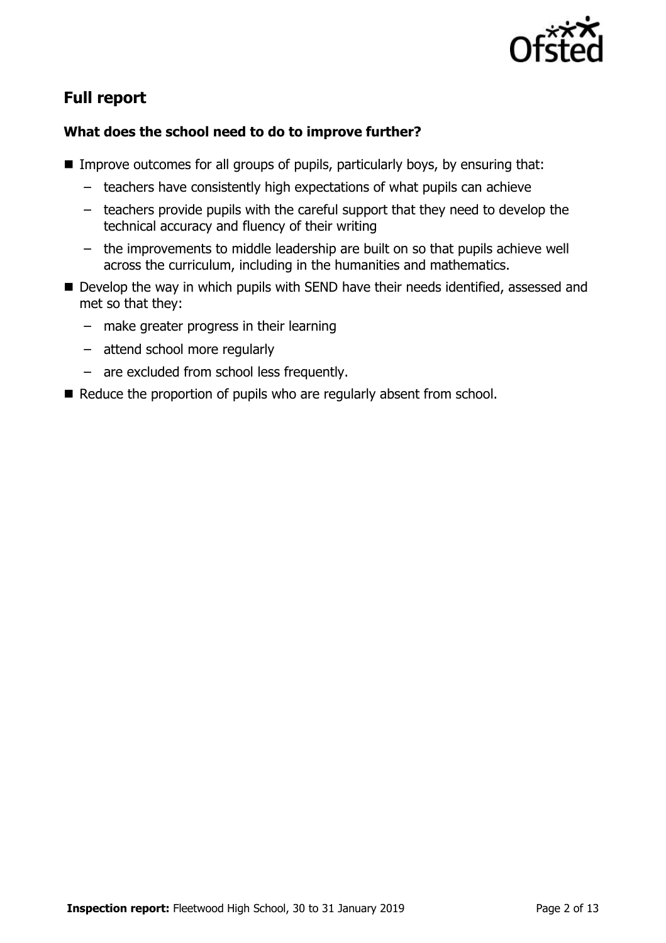

# **Full report**

### **What does the school need to do to improve further?**

- Improve outcomes for all groups of pupils, particularly boys, by ensuring that:
	- teachers have consistently high expectations of what pupils can achieve
	- teachers provide pupils with the careful support that they need to develop the technical accuracy and fluency of their writing
	- the improvements to middle leadership are built on so that pupils achieve well across the curriculum, including in the humanities and mathematics.
- Develop the way in which pupils with SEND have their needs identified, assessed and met so that they:
	- make greater progress in their learning
	- attend school more regularly
	- are excluded from school less frequently.
- Reduce the proportion of pupils who are regularly absent from school.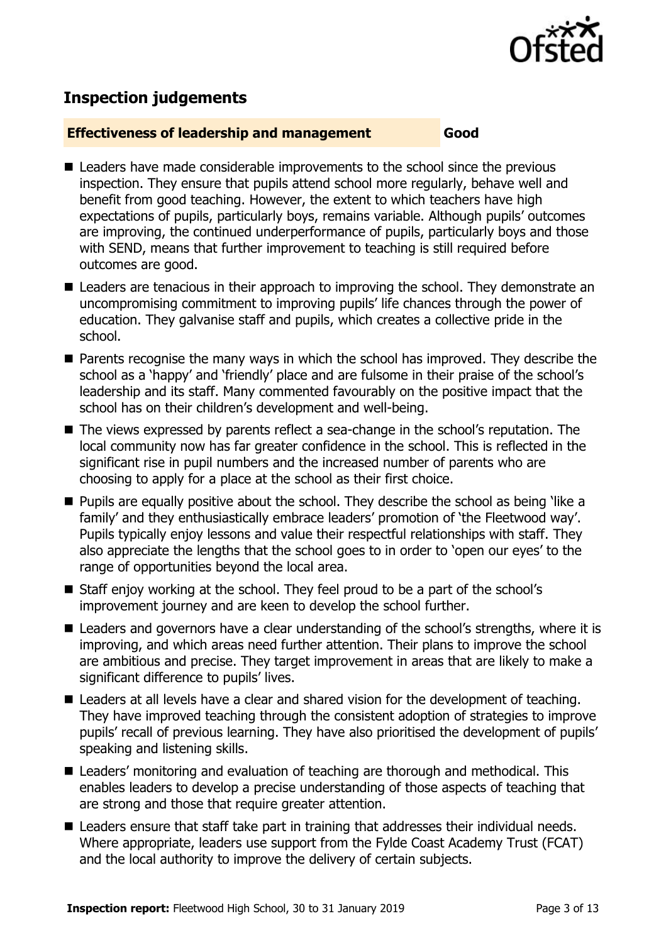

# **Inspection judgements**

#### **Effectiveness of leadership and management Good**

- Leaders have made considerable improvements to the school since the previous inspection. They ensure that pupils attend school more regularly, behave well and benefit from good teaching. However, the extent to which teachers have high expectations of pupils, particularly boys, remains variable. Although pupils' outcomes are improving, the continued underperformance of pupils, particularly boys and those with SEND, means that further improvement to teaching is still required before outcomes are good.
- Leaders are tenacious in their approach to improving the school. They demonstrate an uncompromising commitment to improving pupils' life chances through the power of education. They galvanise staff and pupils, which creates a collective pride in the school.
- **Parents recognise the many ways in which the school has improved. They describe the** school as a 'happy' and 'friendly' place and are fulsome in their praise of the school's leadership and its staff. Many commented favourably on the positive impact that the school has on their children's development and well-being.
- The views expressed by parents reflect a sea-change in the school's reputation. The local community now has far greater confidence in the school. This is reflected in the significant rise in pupil numbers and the increased number of parents who are choosing to apply for a place at the school as their first choice.
- **Pupils are equally positive about the school. They describe the school as being 'like a** family' and they enthusiastically embrace leaders' promotion of 'the Fleetwood way'. Pupils typically enjoy lessons and value their respectful relationships with staff. They also appreciate the lengths that the school goes to in order to 'open our eyes' to the range of opportunities beyond the local area.
- Staff enjoy working at the school. They feel proud to be a part of the school's improvement journey and are keen to develop the school further.
- Leaders and governors have a clear understanding of the school's strengths, where it is improving, and which areas need further attention. Their plans to improve the school are ambitious and precise. They target improvement in areas that are likely to make a significant difference to pupils' lives.
- Leaders at all levels have a clear and shared vision for the development of teaching. They have improved teaching through the consistent adoption of strategies to improve pupils' recall of previous learning. They have also prioritised the development of pupils' speaking and listening skills.
- Leaders' monitoring and evaluation of teaching are thorough and methodical. This enables leaders to develop a precise understanding of those aspects of teaching that are strong and those that require greater attention.
- Leaders ensure that staff take part in training that addresses their individual needs. Where appropriate, leaders use support from the Fylde Coast Academy Trust (FCAT) and the local authority to improve the delivery of certain subjects.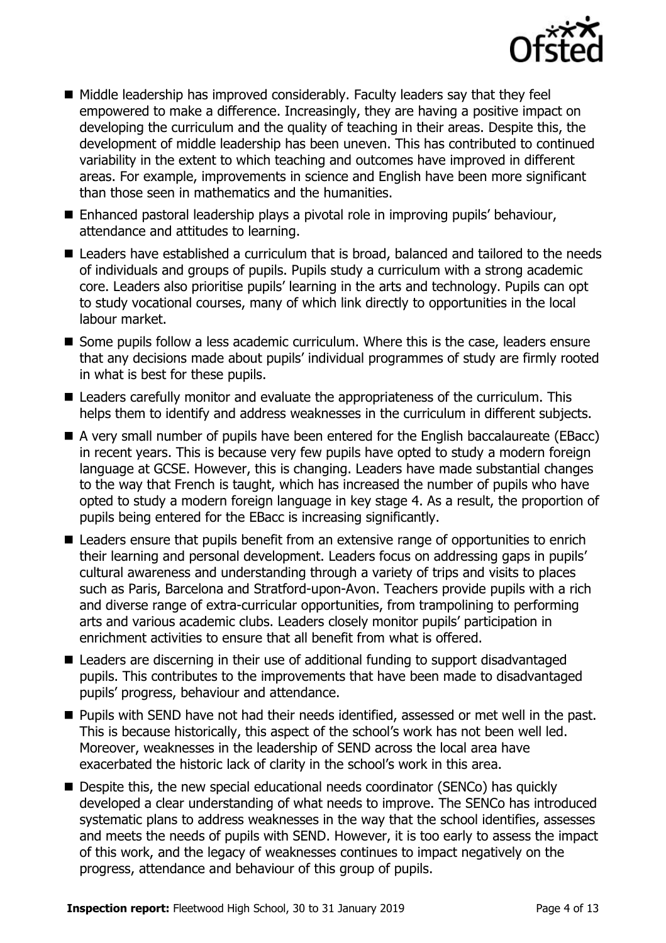

- $\blacksquare$  Middle leadership has improved considerably. Faculty leaders say that they feel empowered to make a difference. Increasingly, they are having a positive impact on developing the curriculum and the quality of teaching in their areas. Despite this, the development of middle leadership has been uneven. This has contributed to continued variability in the extent to which teaching and outcomes have improved in different areas. For example, improvements in science and English have been more significant than those seen in mathematics and the humanities.
- Enhanced pastoral leadership plays a pivotal role in improving pupils' behaviour, attendance and attitudes to learning.
- Leaders have established a curriculum that is broad, balanced and tailored to the needs of individuals and groups of pupils. Pupils study a curriculum with a strong academic core. Leaders also prioritise pupils' learning in the arts and technology. Pupils can opt to study vocational courses, many of which link directly to opportunities in the local labour market.
- Some pupils follow a less academic curriculum. Where this is the case, leaders ensure that any decisions made about pupils' individual programmes of study are firmly rooted in what is best for these pupils.
- Leaders carefully monitor and evaluate the appropriateness of the curriculum. This helps them to identify and address weaknesses in the curriculum in different subjects.
- A very small number of pupils have been entered for the English baccalaureate (EBacc) in recent years. This is because very few pupils have opted to study a modern foreign language at GCSE. However, this is changing. Leaders have made substantial changes to the way that French is taught, which has increased the number of pupils who have opted to study a modern foreign language in key stage 4. As a result, the proportion of pupils being entered for the EBacc is increasing significantly.
- Leaders ensure that pupils benefit from an extensive range of opportunities to enrich their learning and personal development. Leaders focus on addressing gaps in pupils' cultural awareness and understanding through a variety of trips and visits to places such as Paris, Barcelona and Stratford-upon-Avon. Teachers provide pupils with a rich and diverse range of extra-curricular opportunities, from trampolining to performing arts and various academic clubs. Leaders closely monitor pupils' participation in enrichment activities to ensure that all benefit from what is offered.
- Leaders are discerning in their use of additional funding to support disadvantaged pupils. This contributes to the improvements that have been made to disadvantaged pupils' progress, behaviour and attendance.
- **Pupils with SEND have not had their needs identified, assessed or met well in the past.** This is because historically, this aspect of the school's work has not been well led. Moreover, weaknesses in the leadership of SEND across the local area have exacerbated the historic lack of clarity in the school's work in this area.
- Despite this, the new special educational needs coordinator (SENCo) has quickly developed a clear understanding of what needs to improve. The SENCo has introduced systematic plans to address weaknesses in the way that the school identifies, assesses and meets the needs of pupils with SEND. However, it is too early to assess the impact of this work, and the legacy of weaknesses continues to impact negatively on the progress, attendance and behaviour of this group of pupils.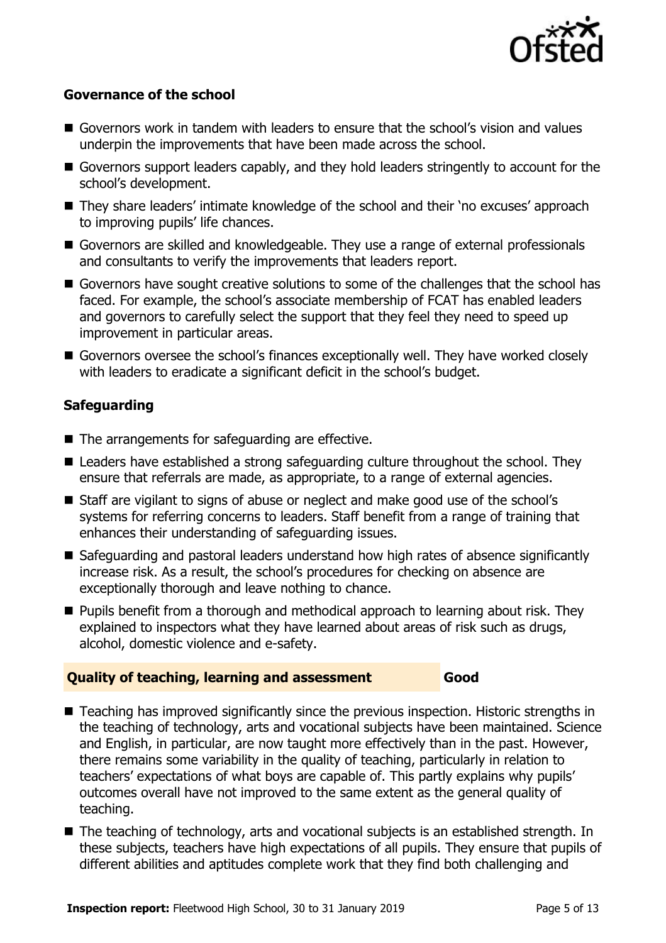

#### **Governance of the school**

- Governors work in tandem with leaders to ensure that the school's vision and values underpin the improvements that have been made across the school.
- Governors support leaders capably, and they hold leaders stringently to account for the school's development.
- They share leaders' intimate knowledge of the school and their 'no excuses' approach to improving pupils' life chances.
- Governors are skilled and knowledgeable. They use a range of external professionals and consultants to verify the improvements that leaders report.
- Governors have sought creative solutions to some of the challenges that the school has faced. For example, the school's associate membership of FCAT has enabled leaders and governors to carefully select the support that they feel they need to speed up improvement in particular areas.
- Governors oversee the school's finances exceptionally well. They have worked closely with leaders to eradicate a significant deficit in the school's budget.

### **Safeguarding**

- The arrangements for safeguarding are effective.
- Leaders have established a strong safeguarding culture throughout the school. They ensure that referrals are made, as appropriate, to a range of external agencies.
- Staff are vigilant to signs of abuse or neglect and make good use of the school's systems for referring concerns to leaders. Staff benefit from a range of training that enhances their understanding of safeguarding issues.
- Safeguarding and pastoral leaders understand how high rates of absence significantly increase risk. As a result, the school's procedures for checking on absence are exceptionally thorough and leave nothing to chance.
- **Pupils benefit from a thorough and methodical approach to learning about risk. They** explained to inspectors what they have learned about areas of risk such as drugs, alcohol, domestic violence and e-safety.

#### **Quality of teaching, learning and assessment Good**

- Teaching has improved significantly since the previous inspection. Historic strengths in the teaching of technology, arts and vocational subjects have been maintained. Science and English, in particular, are now taught more effectively than in the past. However, there remains some variability in the quality of teaching, particularly in relation to teachers' expectations of what boys are capable of. This partly explains why pupils' outcomes overall have not improved to the same extent as the general quality of teaching.
- The teaching of technology, arts and vocational subjects is an established strength. In these subjects, teachers have high expectations of all pupils. They ensure that pupils of different abilities and aptitudes complete work that they find both challenging and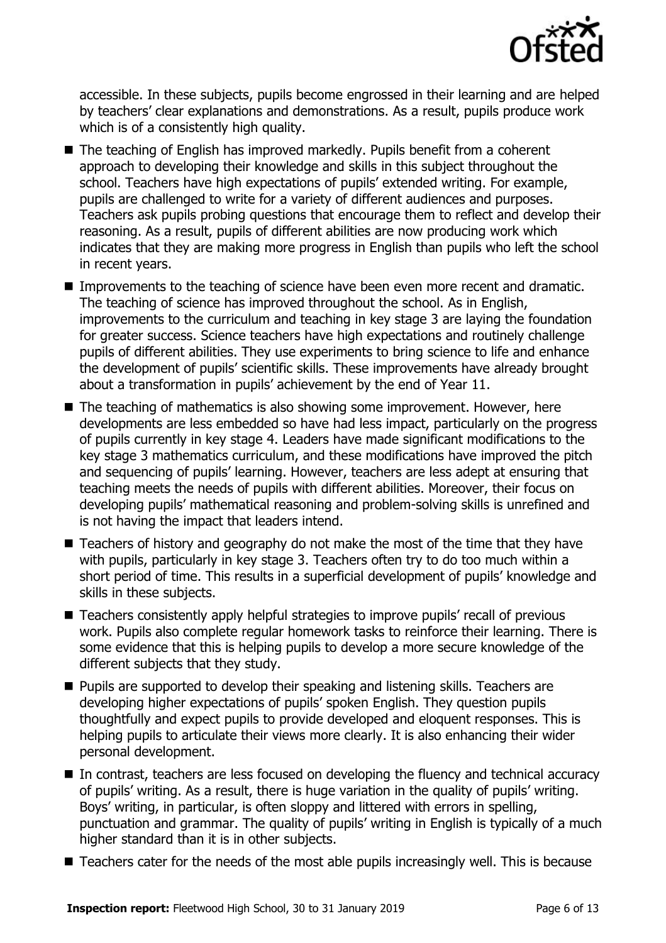

accessible. In these subjects, pupils become engrossed in their learning and are helped by teachers' clear explanations and demonstrations. As a result, pupils produce work which is of a consistently high quality.

- The teaching of English has improved markedly. Pupils benefit from a coherent approach to developing their knowledge and skills in this subject throughout the school. Teachers have high expectations of pupils' extended writing. For example, pupils are challenged to write for a variety of different audiences and purposes. Teachers ask pupils probing questions that encourage them to reflect and develop their reasoning. As a result, pupils of different abilities are now producing work which indicates that they are making more progress in English than pupils who left the school in recent years.
- Improvements to the teaching of science have been even more recent and dramatic. The teaching of science has improved throughout the school. As in English, improvements to the curriculum and teaching in key stage 3 are laying the foundation for greater success. Science teachers have high expectations and routinely challenge pupils of different abilities. They use experiments to bring science to life and enhance the development of pupils' scientific skills. These improvements have already brought about a transformation in pupils' achievement by the end of Year 11.
- The teaching of mathematics is also showing some improvement. However, here developments are less embedded so have had less impact, particularly on the progress of pupils currently in key stage 4. Leaders have made significant modifications to the key stage 3 mathematics curriculum, and these modifications have improved the pitch and sequencing of pupils' learning. However, teachers are less adept at ensuring that teaching meets the needs of pupils with different abilities. Moreover, their focus on developing pupils' mathematical reasoning and problem-solving skills is unrefined and is not having the impact that leaders intend.
- Teachers of history and geography do not make the most of the time that they have with pupils, particularly in key stage 3. Teachers often try to do too much within a short period of time. This results in a superficial development of pupils' knowledge and skills in these subjects.
- Teachers consistently apply helpful strategies to improve pupils' recall of previous work. Pupils also complete regular homework tasks to reinforce their learning. There is some evidence that this is helping pupils to develop a more secure knowledge of the different subjects that they study.
- **Pupils are supported to develop their speaking and listening skills. Teachers are** developing higher expectations of pupils' spoken English. They question pupils thoughtfully and expect pupils to provide developed and eloquent responses. This is helping pupils to articulate their views more clearly. It is also enhancing their wider personal development.
- In contrast, teachers are less focused on developing the fluency and technical accuracy of pupils' writing. As a result, there is huge variation in the quality of pupils' writing. Boys' writing, in particular, is often sloppy and littered with errors in spelling, punctuation and grammar. The quality of pupils' writing in English is typically of a much higher standard than it is in other subjects.
- Teachers cater for the needs of the most able pupils increasingly well. This is because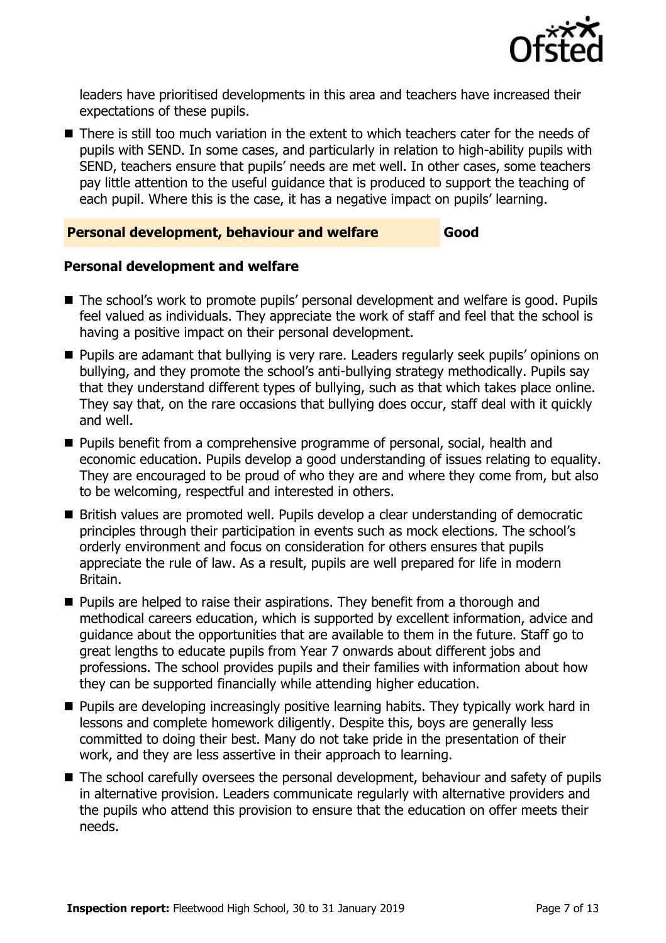

leaders have prioritised developments in this area and teachers have increased their expectations of these pupils.

■ There is still too much variation in the extent to which teachers cater for the needs of pupils with SEND. In some cases, and particularly in relation to high-ability pupils with SEND, teachers ensure that pupils' needs are met well. In other cases, some teachers pay little attention to the useful guidance that is produced to support the teaching of each pupil. Where this is the case, it has a negative impact on pupils' learning.

#### **Personal development, behaviour and welfare Good**

#### **Personal development and welfare**

- The school's work to promote pupils' personal development and welfare is good. Pupils feel valued as individuals. They appreciate the work of staff and feel that the school is having a positive impact on their personal development.
- Pupils are adamant that bullying is very rare. Leaders regularly seek pupils' opinions on bullying, and they promote the school's anti-bullying strategy methodically. Pupils say that they understand different types of bullying, such as that which takes place online. They say that, on the rare occasions that bullying does occur, staff deal with it quickly and well.
- **Pupils benefit from a comprehensive programme of personal, social, health and** economic education. Pupils develop a good understanding of issues relating to equality. They are encouraged to be proud of who they are and where they come from, but also to be welcoming, respectful and interested in others.
- British values are promoted well. Pupils develop a clear understanding of democratic principles through their participation in events such as mock elections. The school's orderly environment and focus on consideration for others ensures that pupils appreciate the rule of law. As a result, pupils are well prepared for life in modern Britain.
- **Pupils are helped to raise their aspirations. They benefit from a thorough and** methodical careers education, which is supported by excellent information, advice and guidance about the opportunities that are available to them in the future. Staff go to great lengths to educate pupils from Year 7 onwards about different jobs and professions. The school provides pupils and their families with information about how they can be supported financially while attending higher education.
- **Pupils are developing increasingly positive learning habits. They typically work hard in** lessons and complete homework diligently. Despite this, boys are generally less committed to doing their best. Many do not take pride in the presentation of their work, and they are less assertive in their approach to learning.
- The school carefully oversees the personal development, behaviour and safety of pupils in alternative provision. Leaders communicate regularly with alternative providers and the pupils who attend this provision to ensure that the education on offer meets their needs.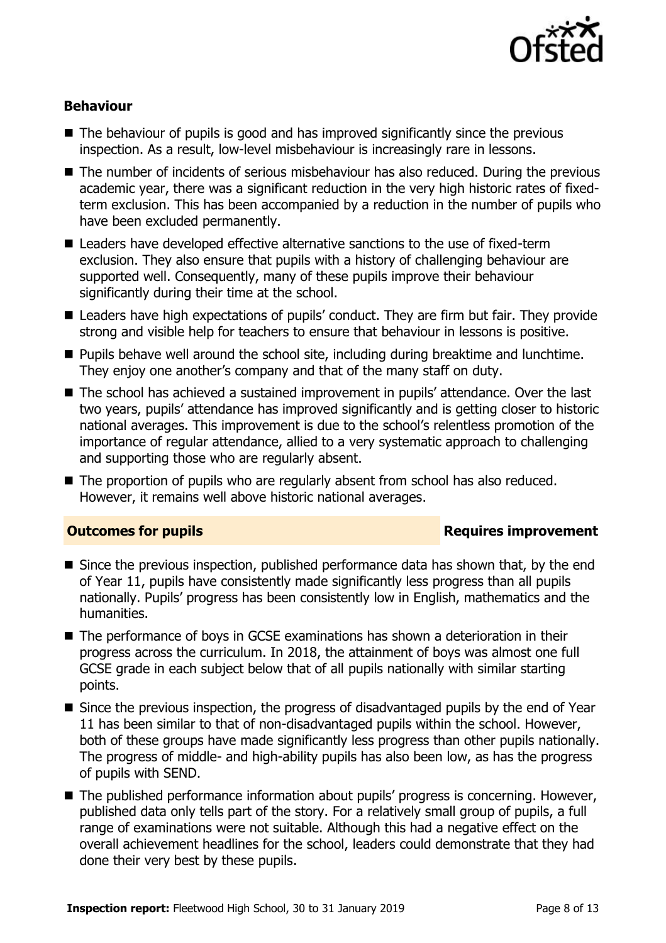

### **Behaviour**

- $\blacksquare$  The behaviour of pupils is good and has improved significantly since the previous inspection. As a result, low-level misbehaviour is increasingly rare in lessons.
- The number of incidents of serious misbehaviour has also reduced. During the previous academic year, there was a significant reduction in the very high historic rates of fixedterm exclusion. This has been accompanied by a reduction in the number of pupils who have been excluded permanently.
- Leaders have developed effective alternative sanctions to the use of fixed-term exclusion. They also ensure that pupils with a history of challenging behaviour are supported well. Consequently, many of these pupils improve their behaviour significantly during their time at the school.
- Leaders have high expectations of pupils' conduct. They are firm but fair. They provide strong and visible help for teachers to ensure that behaviour in lessons is positive.
- **Pupils behave well around the school site, including during breaktime and lunchtime.** They enjoy one another's company and that of the many staff on duty.
- The school has achieved a sustained improvement in pupils' attendance. Over the last two years, pupils' attendance has improved significantly and is getting closer to historic national averages. This improvement is due to the school's relentless promotion of the importance of regular attendance, allied to a very systematic approach to challenging and supporting those who are regularly absent.
- The proportion of pupils who are regularly absent from school has also reduced. However, it remains well above historic national averages.

#### **Outcomes for pupils Requires improvement**

- $\blacksquare$  Since the previous inspection, published performance data has shown that, by the end of Year 11, pupils have consistently made significantly less progress than all pupils nationally. Pupils' progress has been consistently low in English, mathematics and the humanities.
- The performance of boys in GCSE examinations has shown a deterioration in their progress across the curriculum. In 2018, the attainment of boys was almost one full GCSE grade in each subject below that of all pupils nationally with similar starting points.
- Since the previous inspection, the progress of disadvantaged pupils by the end of Year 11 has been similar to that of non-disadvantaged pupils within the school. However, both of these groups have made significantly less progress than other pupils nationally. The progress of middle- and high-ability pupils has also been low, as has the progress of pupils with SEND.
- The published performance information about pupils' progress is concerning. However, published data only tells part of the story. For a relatively small group of pupils, a full range of examinations were not suitable. Although this had a negative effect on the overall achievement headlines for the school, leaders could demonstrate that they had done their very best by these pupils.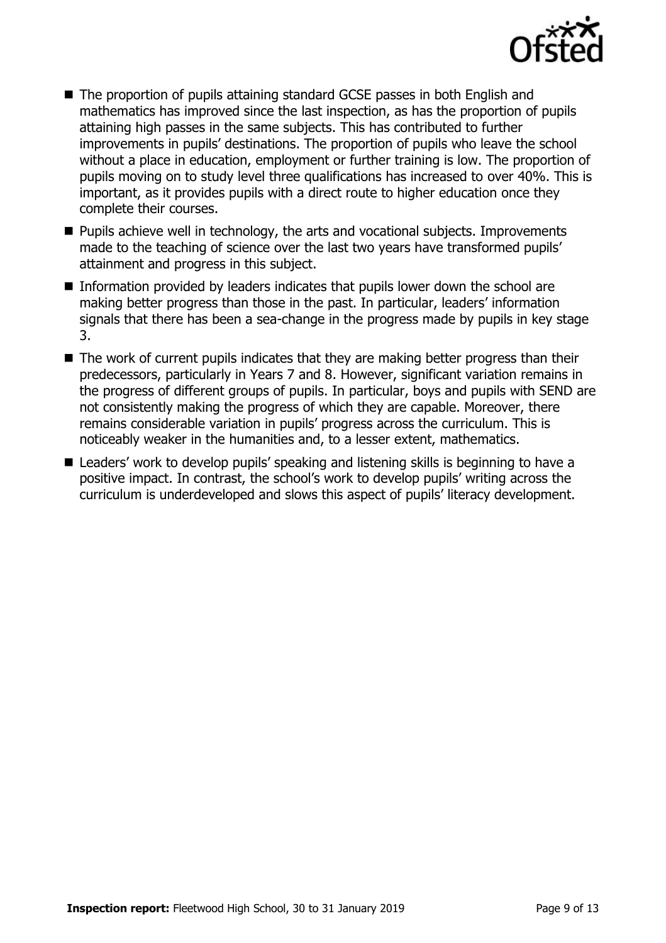

- The proportion of pupils attaining standard GCSE passes in both English and mathematics has improved since the last inspection, as has the proportion of pupils attaining high passes in the same subjects. This has contributed to further improvements in pupils' destinations. The proportion of pupils who leave the school without a place in education, employment or further training is low. The proportion of pupils moving on to study level three qualifications has increased to over 40%. This is important, as it provides pupils with a direct route to higher education once they complete their courses.
- **Pupils achieve well in technology, the arts and vocational subjects. Improvements** made to the teaching of science over the last two years have transformed pupils' attainment and progress in this subject.
- Information provided by leaders indicates that pupils lower down the school are making better progress than those in the past. In particular, leaders' information signals that there has been a sea-change in the progress made by pupils in key stage 3.
- The work of current pupils indicates that they are making better progress than their predecessors, particularly in Years 7 and 8. However, significant variation remains in the progress of different groups of pupils. In particular, boys and pupils with SEND are not consistently making the progress of which they are capable. Moreover, there remains considerable variation in pupils' progress across the curriculum. This is noticeably weaker in the humanities and, to a lesser extent, mathematics.
- Leaders' work to develop pupils' speaking and listening skills is beginning to have a positive impact. In contrast, the school's work to develop pupils' writing across the curriculum is underdeveloped and slows this aspect of pupils' literacy development.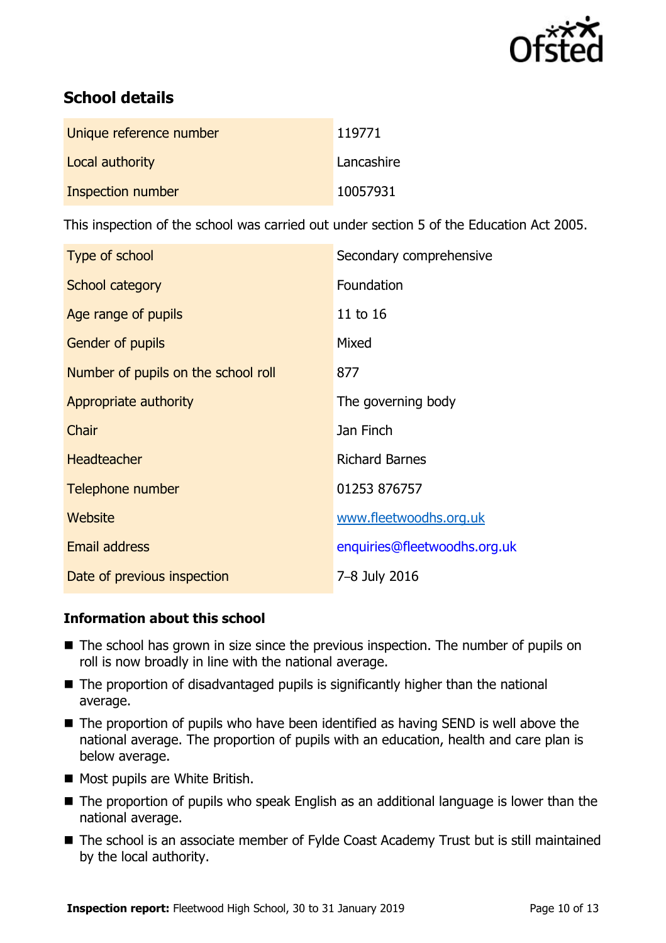

# **School details**

| Unique reference number | 119771     |
|-------------------------|------------|
| Local authority         | Lancashire |
| Inspection number       | 10057931   |

This inspection of the school was carried out under section 5 of the Education Act 2005.

| Type of school                      | Secondary comprehensive      |
|-------------------------------------|------------------------------|
| School category                     | Foundation                   |
| Age range of pupils                 | 11 to 16                     |
| <b>Gender of pupils</b>             | Mixed                        |
| Number of pupils on the school roll | 877                          |
| Appropriate authority               | The governing body           |
| Chair                               | Jan Finch                    |
| <b>Headteacher</b>                  | <b>Richard Barnes</b>        |
| Telephone number                    | 01253 876757                 |
| Website                             | www.fleetwoodhs.org.uk       |
| <b>Email address</b>                | enquiries@fleetwoodhs.org.uk |
| Date of previous inspection         | 7-8 July 2016                |

### **Information about this school**

- The school has grown in size since the previous inspection. The number of pupils on roll is now broadly in line with the national average.
- The proportion of disadvantaged pupils is significantly higher than the national average.
- The proportion of pupils who have been identified as having SEND is well above the national average. The proportion of pupils with an education, health and care plan is below average.
- Most pupils are White British.
- The proportion of pupils who speak English as an additional language is lower than the national average.
- The school is an associate member of Fylde Coast Academy Trust but is still maintained by the local authority.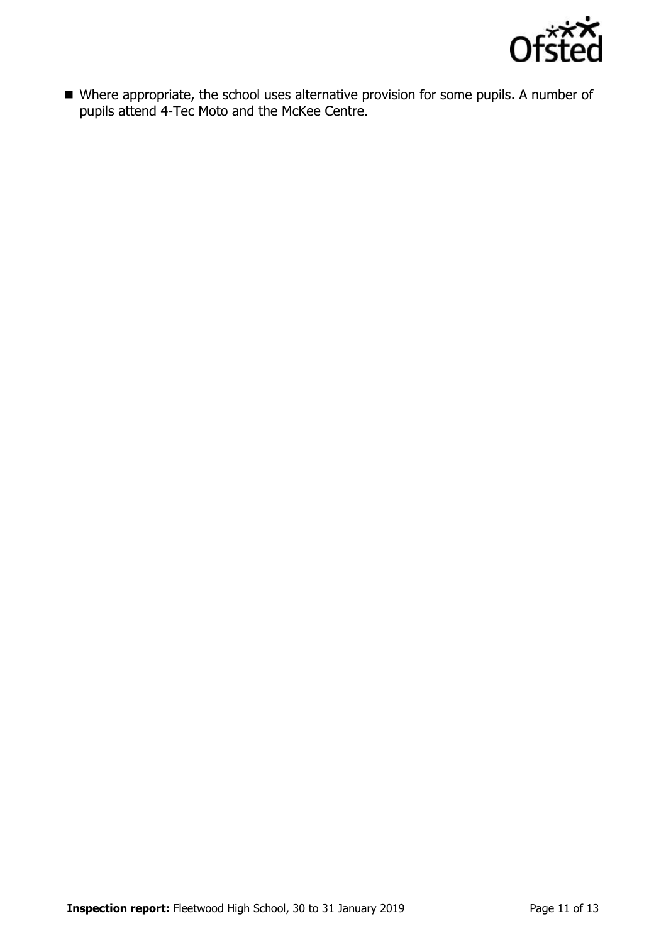

 Where appropriate, the school uses alternative provision for some pupils. A number of pupils attend 4-Tec Moto and the McKee Centre.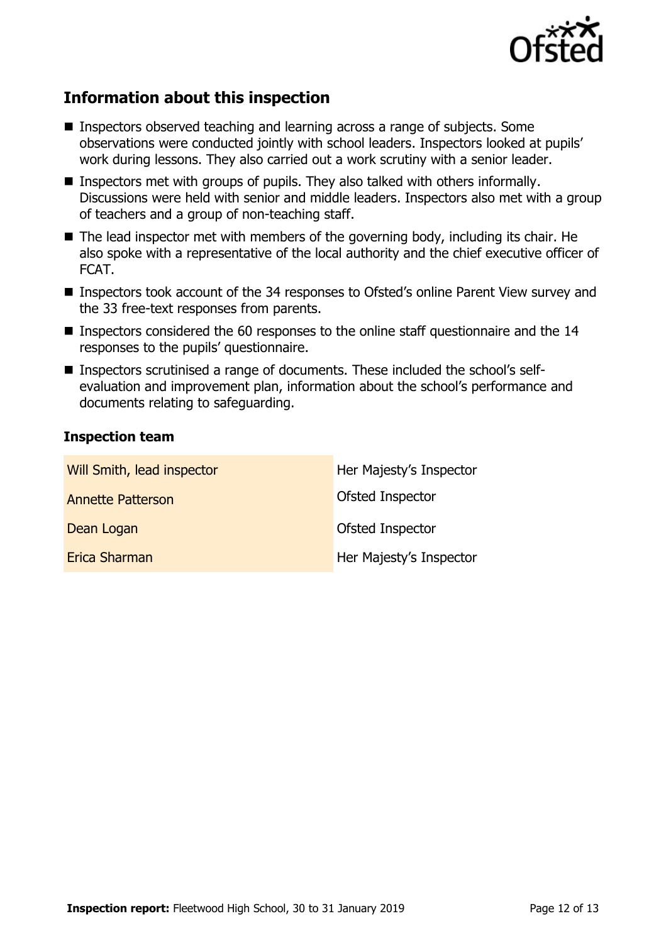

# **Information about this inspection**

- Inspectors observed teaching and learning across a range of subjects. Some observations were conducted jointly with school leaders. Inspectors looked at pupils' work during lessons. They also carried out a work scrutiny with a senior leader.
- **Inspectors met with groups of pupils. They also talked with others informally.** Discussions were held with senior and middle leaders. Inspectors also met with a group of teachers and a group of non-teaching staff.
- The lead inspector met with members of the governing body, including its chair. He also spoke with a representative of the local authority and the chief executive officer of FCAT.
- Inspectors took account of the 34 responses to Ofsted's online Parent View survey and the 33 free-text responses from parents.
- Inspectors considered the 60 responses to the online staff questionnaire and the 14 responses to the pupils' questionnaire.
- Inspectors scrutinised a range of documents. These included the school's selfevaluation and improvement plan, information about the school's performance and documents relating to safeguarding.

#### **Inspection team**

| Will Smith, lead inspector | Her Majesty's Inspector |
|----------------------------|-------------------------|
| <b>Annette Patterson</b>   | Ofsted Inspector        |
| Dean Logan                 | Ofsted Inspector        |
| Erica Sharman              | Her Majesty's Inspector |